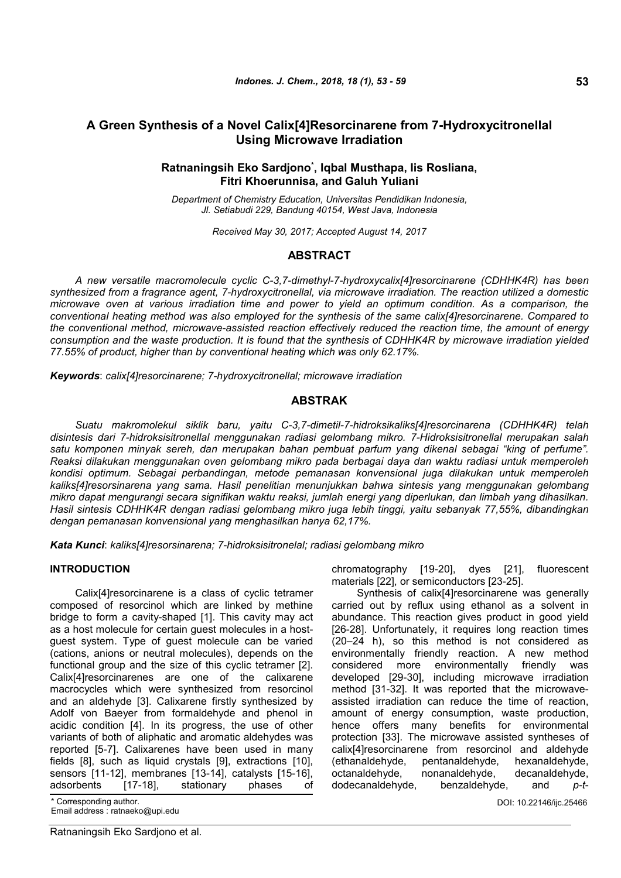# **A Green Synthesis of a Novel Calix[4]Resorcinarene from 7-Hydroxycitronellal Using Microwave Irradiation**

# **Ratnaningsih Eko Sardjono\* , Iqbal Musthapa, Iis Rosliana, Fitri Khoerunnisa, and Galuh Yuliani**

*Department of Chemistry Education, Universitas Pendidikan Indonesia, Jl. Setiabudi 229, Bandung 40154, West Java, Indonesia*

*Received May 30, 2017; Accepted August 14, 2017*

# **ABSTRACT**

*A new versatile macromolecule cyclic C-3,7-dimethyl-7-hydroxycalix[4]resorcinarene (CDHHK4R) has been synthesized from a fragrance agent, 7-hydroxycitronellal, via microwave irradiation. The reaction utilized a domestic microwave oven at various irradiation time and power to yield an optimum condition. As a comparison, the conventional heating method was also employed for the synthesis of the same calix[4]resorcinarene. Compared to the conventional method, microwave-assisted reaction effectively reduced the reaction time, the amount of energy consumption and the waste production. It is found that the synthesis of CDHHK4R by microwave irradiation yielded 77.55% of product, higher than by conventional heating which was only 62.17%.*

*Keywords*: *calix[4]resorcinarene; 7-hydroxycitronellal; microwave irradiation*

## **ABSTRAK**

*Suatu makromolekul siklik baru, yaitu C-3,7-dimetil-7-hidroksikaliks[4]resorcinarena (CDHHK4R) telah disintesis dari 7-hidroksisitronellal menggunakan radiasi gelombang mikro. 7-Hidroksisitronellal merupakan salah satu komponen minyak sereh, dan merupakan bahan pembuat parfum yang dikenal sebagai "king of perfume". Reaksi dilakukan menggunakan oven gelombang mikro pada berbagai daya dan waktu radiasi untuk memperoleh kondisi optimum. Sebagai perbandingan, metode pemanasan konvensional juga dilakukan untuk memperoleh kaliks[4]resorsinarena yang sama. Hasil penelitian menunjukkan bahwa sintesis yang menggunakan gelombang mikro dapat mengurangi secara signifikan waktu reaksi, jumlah energi yang diperlukan, dan limbah yang dihasilkan. Hasil sintesis CDHHK4R dengan radiasi gelombang mikro juga lebih tinggi, yaitu sebanyak 77,55%, dibandingkan dengan pemanasan konvensional yang menghasilkan hanya 62,17%.*

*Kata Kunci*: *kaliks[4]resorsinarena; 7-hidroksisitronelal; radiasi gelombang mikro*

### **INTRODUCTION**

Calix[4]resorcinarene is a class of cyclic tetramer composed of resorcinol which are linked by methine bridge to form a cavity-shaped [1]. This cavity may act as a host molecule for certain guest molecules in a hostguest system. Type of guest molecule can be varied (cations, anions or neutral molecules), depends on the functional group and the size of this cyclic tetramer [2]. Calix[4]resorcinarenes are one of the calixarene macrocycles which were synthesized from resorcinol and an aldehyde [3]. Calixarene firstly synthesized by Adolf von Baeyer from formaldehyde and phenol in acidic condition [4]. In its progress, the use of other variants of both of aliphatic and aromatic aldehydes was reported [5-7]. Calixarenes have been used in many fields [8], such as liquid crystals [9], extractions [10], sensors [11-12], membranes [13-14], catalysts [15-16],<br>adsorbents [17-18], stationary phases of adsorbents [17-18], stationary phases of

Ratnaningsih Eko Sardjono et al.

chromatography [19-20], dyes [21], fluorescent materials [22], or semiconductors [23-25].

Synthesis of calix[4]resorcinarene was generally carried out by reflux using ethanol as a solvent in abundance. This reaction gives product in good yield [26-28]. Unfortunately, it requires long reaction times (20–24 h), so this method is not considered as environmentally friendly reaction. A new method considered more environmentally friendly was developed [29-30], including microwave irradiation method [31-32]. It was reported that the microwaveassisted irradiation can reduce the time of reaction, amount of energy consumption, waste production, hence offers many benefits for environmental protection [33]. The microwave assisted syntheses of calix[4]resorcinarene from resorcinol and aldehyde (ethanaldehyde, pentanaldehyde, hexanaldehyde, octanaldehyde, nonanaldehyde, decanaldehyde, dodecanaldehyde, benzaldehyde, and *p-t*-

<sup>\*</sup> Corresponding author. DOI: 10.22146/ijc.25466 Email address : ratnaeko@upi.edu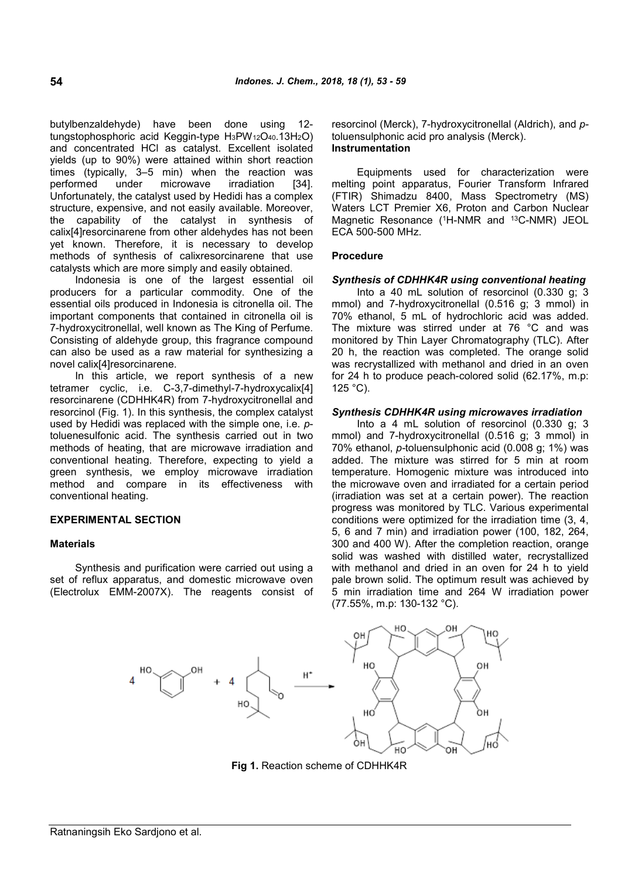butylbenzaldehyde) have been done using 12 tungstophosphoric acid Keggin-type H3PW12O40.13H2O) and concentrated HCl as catalyst. Excellent isolated yields (up to 90%) were attained within short reaction times (typically, 3–5 min) when the reaction was performed under microwave irradiation [34]. Unfortunately, the catalyst used by Hedidi has a complex structure, expensive, and not easily available. Moreover, the capability of the catalyst in synthesis of calix[4]resorcinarene from other aldehydes has not been yet known. Therefore, it is necessary to develop methods of synthesis of calixresorcinarene that use catalysts which are more simply and easily obtained.

Indonesia is one of the largest essential oil producers for a particular commodity. One of the essential oils produced in Indonesia is citronella oil. The important components that contained in citronella oil is 7-hydroxycitronellal, well known as The King of Perfume. Consisting of aldehyde group, this fragrance compound can also be used as a raw material for synthesizing a novel calix[4]resorcinarene.

In this article, we report synthesis of a new tetramer cyclic, i.e. C-3,7-dimethyl-7-hydroxycalix[4] resorcinarene (CDHHK4R) from 7-hydroxycitronellal and resorcinol (Fig. 1). In this synthesis, the complex catalyst used by Hedidi was replaced with the simple one, i.e. *p*toluenesulfonic acid. The synthesis carried out in two methods of heating, that are microwave irradiation and conventional heating. Therefore, expecting to yield a green synthesis, we employ microwave irradiation method and compare in its effectiveness with conventional heating.

### **EXPERIMENTAL SECTION**

#### **Materials**

Synthesis and purification were carried out using a set of reflux apparatus, and domestic microwave oven (Electrolux EMM-2007X). The reagents consist of resorcinol (Merck), 7-hydroxycitronellal (Aldrich), and *p*toluensulphonic acid pro analysis (Merck). **Instrumentation**

Equipments used for characterization were melting point apparatus, Fourier Transform Infrared (FTIR) Shimadzu 8400, Mass Spectrometry (MS) Waters LCT Premier X6, Proton and Carbon Nuclear Magnetic Resonance (<sup>1</sup>H-NMR and <sup>13</sup>C-NMR) JEOL ECA 500-500 MHz.

### **Procedure**

#### *Synthesis of CDHHK4R using conventional heating*

Into a 40 mL solution of resorcinol (0.330 g; 3 mmol) and 7-hydroxycitronellal (0.516 g; 3 mmol) in 70% ethanol, 5 mL of hydrochloric acid was added. The mixture was stirred under at 76 °C and was monitored by Thin Layer Chromatography (TLC). After 20 h, the reaction was completed. The orange solid was recrystallized with methanol and dried in an oven for 24 h to produce peach-colored solid (62.17%, m.p: 125 °C).

### *Synthesis CDHHK4R using microwaves irradiation*

Into a 4 mL solution of resorcinol (0.330 g; 3 mmol) and 7-hydroxycitronellal (0.516 g; 3 mmol) in 70% ethanol, *p-*toluensulphonic acid (0.008 g; 1%) was added. The mixture was stirred for 5 min at room temperature. Homogenic mixture was introduced into the microwave oven and irradiated for a certain period (irradiation was set at a certain power). The reaction progress was monitored by TLC. Various experimental conditions were optimized for the irradiation time (3, 4, 5, 6 and 7 min) and irradiation power (100, 182, 264, 300 and 400 W). After the completion reaction, orange solid was washed with distilled water, recrystallized with methanol and dried in an oven for 24 h to yield pale brown solid. The optimum result was achieved by 5 min irradiation time and 264 W irradiation power (77.55%, m.p: 130-132 °C).



**Fig 1.** Reaction scheme of CDHHK4R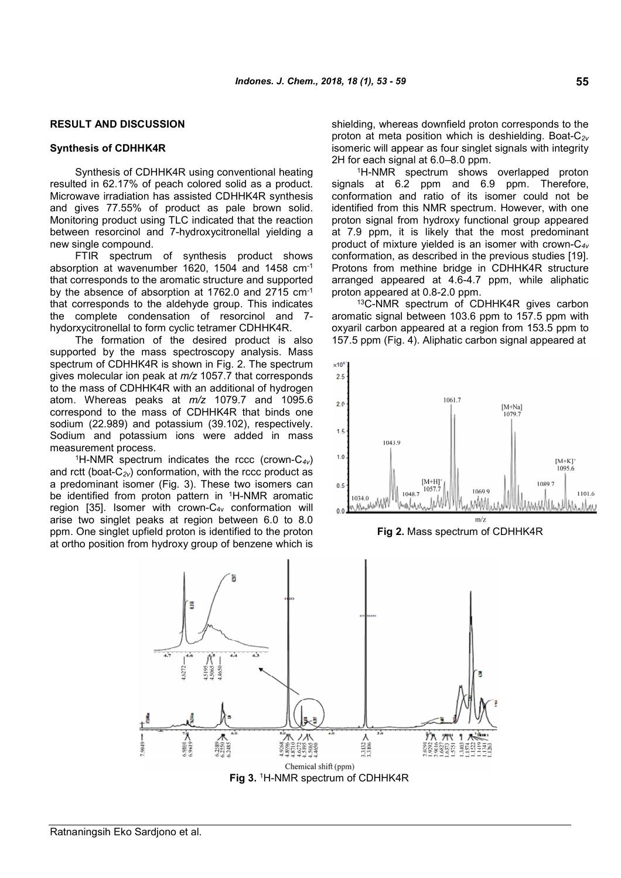# **RESULT AND DISCUSSION**

#### **Synthesis of CDHHK4R**

Synthesis of CDHHK4R using conventional heating resulted in 62.17% of peach colored solid as a product. Microwave irradiation has assisted CDHHK4R synthesis and gives 77.55% of product as pale brown solid. Monitoring product using TLC indicated that the reaction between resorcinol and 7-hydroxycitronellal yielding a new single compound.

FTIR spectrum of synthesis product shows absorption at wavenumber 1620, 1504 and 1458 cm-1 that corresponds to the aromatic structure and supported by the absence of absorption at 1762.0 and 2715 cm-1 that corresponds to the aldehyde group. This indicates the complete condensation of resorcinol and 7 hydorxycitronellal to form cyclic tetramer CDHHK4R.

The formation of the desired product is also supported by the mass spectroscopy analysis. Mass spectrum of CDHHK4R is shown in Fig. 2. The spectrum gives molecular ion peak at *m/z* 1057.7 that corresponds to the mass of CDHHK4R with an additional of hydrogen atom. Whereas peaks at *m/z* 1079.7 and 1095.6 correspond to the mass of CDHHK4R that binds one sodium (22.989) and potassium (39.102), respectively. Sodium and potassium ions were added in mass measurement process.

<sup>1</sup>H-NMR spectrum indicates the rccc (crown-C*4v*) and rctt (boat-C*2v*) conformation, with the rccc product as a predominant isomer (Fig. 3). These two isomers can be identified from proton pattern in <sup>1</sup>H-NMR aromatic region [35]. Isomer with crown-C4v conformation will arise two singlet peaks at region between 6.0 to 8.0 ppm. One singlet upfield proton is identified to the proton at ortho position from hydroxy group of benzene which is shielding, whereas downfield proton corresponds to the proton at meta position which is deshielding. Boat-C*2v* isomeric will appear as four singlet signals with integrity 2H for each signal at 6.0–8.0 ppm.

<sup>1</sup>H-NMR spectrum shows overlapped proton signals at 6.2 ppm and 6.9 ppm. Therefore, conformation and ratio of its isomer could not be identified from this NMR spectrum. However, with one proton signal from hydroxy functional group appeared at 7.9 ppm, it is likely that the most predominant product of mixture yielded is an isomer with crown-C*4v* conformation, as described in the previous studies [19]. Protons from methine bridge in CDHHK4R structure arranged appeared at 4.6-4.7 ppm, while aliphatic proton appeared at 0.8-2.0 ppm.

<sup>13</sup>C-NMR spectrum of CDHHK4R gives carbon aromatic signal between 103.6 ppm to 157.5 ppm with oxyaril carbon appeared at a region from 153.5 ppm to 157.5 ppm (Fig. 4). Aliphatic carbon signal appeared at





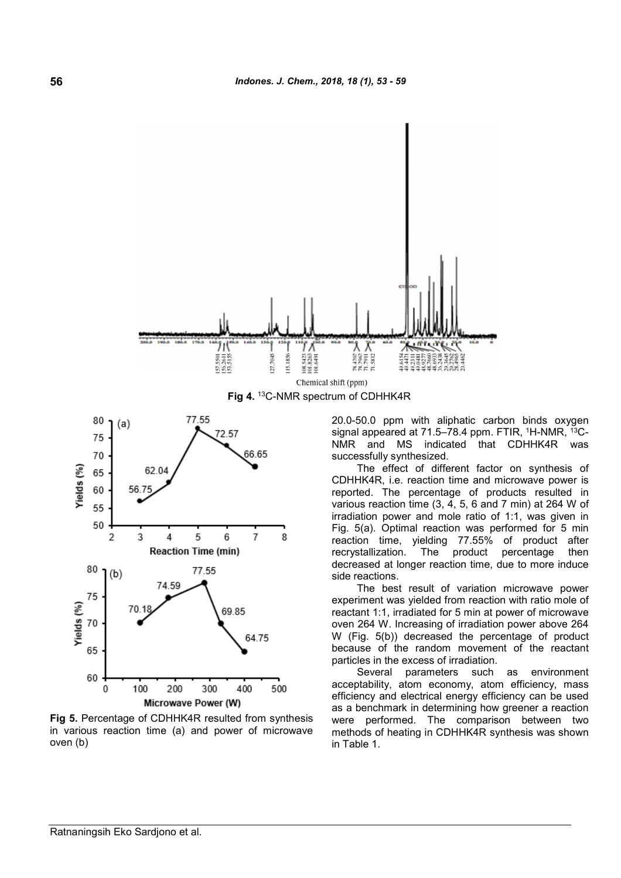

**Fig 4.** <sup>13</sup>C-NMR spectrum of CDHHK4R



**Fig 5.** Percentage of CDHHK4R resulted from synthesis in various reaction time (a) and power of microwave oven (b)

20.0-50.0 ppm with aliphatic carbon binds oxygen signal appeared at 71.5–78.4 ppm. FTIR, <sup>1</sup>H-NMR, <sup>13</sup>C-NMR and MS indicated that CDHHK4R was successfully synthesized.

The effect of different factor on synthesis of CDHHK4R, i.e. reaction time and microwave power is reported. The percentage of products resulted in various reaction time (3, 4, 5, 6 and 7 min) at 264 W of irradiation power and mole ratio of 1:1, was given in Fig. 5(a). Optimal reaction was performed for 5 min reaction time, yielding 77.55% of product after recrystallization. The product percentage then decreased at longer reaction time, due to more induce side reactions.

The best result of variation microwave power experiment was yielded from reaction with ratio mole of reactant 1:1, irradiated for 5 min at power of microwave oven 264 W. Increasing of irradiation power above 264 W (Fig. 5(b)) decreased the percentage of product because of the random movement of the reactant particles in the excess of irradiation.

Several parameters such as environment acceptability, atom economy, atom efficiency, mass efficiency and electrical energy efficiency can be used as a benchmark in determining how greener a reaction were performed. The comparison between two methods of heating in CDHHK4R synthesis was shown in Table 1.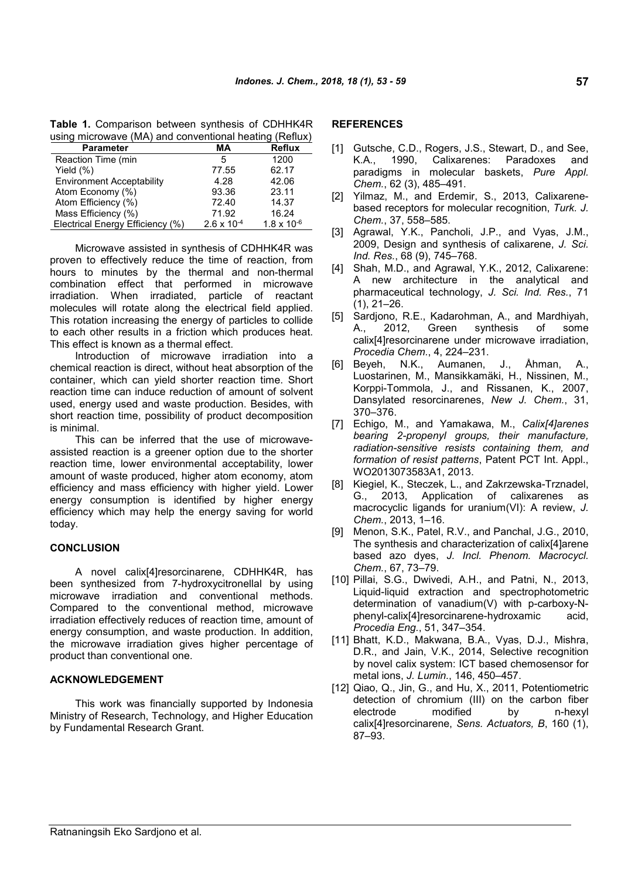**Table 1.** Comparison between synthesis of CDHHK4R using microwave (MA) and conventional heating (Reflux)

| <b>Parameter</b>                 | MА                   | <b>Reflux</b>        |
|----------------------------------|----------------------|----------------------|
| Reaction Time (min               | 5                    | 1200                 |
| Yield $(\%)$                     | 77.55                | 62.17                |
| <b>Environment Acceptability</b> | 4.28                 | 42.06                |
| Atom Economy (%)                 | 93.36                | 23.11                |
| Atom Efficiency (%)              | 72.40                | 14.37                |
| Mass Efficiency (%)              | 71.92                | 16.24                |
| Electrical Energy Efficiency (%) | $2.6 \times 10^{-4}$ | $1.8 \times 10^{-6}$ |

Microwave assisted in synthesis of CDHHK4R was proven to effectively reduce the time of reaction, from hours to minutes by the thermal and non-thermal combination effect that performed in microwave irradiation. When irradiated, particle of reactant molecules will rotate along the electrical field applied. This rotation increasing the energy of particles to collide to each other results in a friction which produces heat. This effect is known as a thermal effect.

Introduction of microwave irradiation into a chemical reaction is direct, without heat absorption of the container, which can yield shorter reaction time. Short reaction time can induce reduction of amount of solvent used, energy used and waste production. Besides, with short reaction time, possibility of product decomposition is minimal.

This can be inferred that the use of microwaveassisted reaction is a greener option due to the shorter reaction time, lower environmental acceptability, lower amount of waste produced, higher atom economy, atom efficiency and mass efficiency with higher yield. Lower energy consumption is identified by higher energy efficiency which may help the energy saving for world today.

## **CONCLUSION**

A novel calix[4]resorcinarene, CDHHK4R, has been synthesized from 7-hydroxycitronellal by using microwave irradiation and conventional methods. Compared to the conventional method, microwave irradiation effectively reduces of reaction time, amount of energy consumption, and waste production. In addition, the microwave irradiation gives higher percentage of product than conventional one.

# **ACKNOWLEDGEMENT**

This work was financially supported by Indonesia Ministry of Research, Technology, and Higher Education by Fundamental Research Grant.

### **REFERENCES**

- [1] Gutsche, C.D., Rogers, J.S., Stewart, D., and See, K.A., 1990, Calixarenes: Paradoxes and paradigms in molecular baskets, *Pure Appl. Chem.*, 62 (3), 485–491.
- [2] Yilmaz, M., and Erdemir, S., 2013, Calixarenebased receptors for molecular recognition, *Turk. J. Chem.*, 37, 558–585.
- [3] Agrawal, Y.K., Pancholi, J.P., and Vyas, J.M., 2009, Design and synthesis of calixarene, *J. Sci. Ind. Res.*, 68 (9), 745–768.
- [4] Shah, M.D., and Agrawal, Y.K., 2012, Calixarene: A new architecture in the analytical and pharmaceutical technology, *J. Sci. Ind. Res.*, 71 (1), 21–26.
- [5] Sardjono, R.E., Kadarohman, A., and Mardhiyah, A., 2012, Green synthesis of some calix[4]resorcinarene under microwave irradiation, *Procedia Chem.*, 4, 224–231.
- [6] Beyeh, N.K., Aumanen, J., Åhman, A., Luostarinen, M., Mansikkamäki, H., Nissinen, M., Korppi-Tommola, J., and Rissanen, K., 2007, Dansylated resorcinarenes, *New J. Chem.*, 31, 370–376.
- [7] Echigo, M., and Yamakawa, M., *Calix[4]arenes bearing 2-propenyl groups, their manufacture, radiation-sensitive resists containing them, and formation of resist patterns*, Patent PCT Int. Appl., WO2013073583A1, 2013.
- [8] Kiegiel, K., Steczek, L., and Zakrzewska-Trznadel, G., 2013, Application of calixarenes as macrocyclic ligands for uranium(VI): A review, *J. Chem.*, 2013, 1–16.
- [9] Menon, S.K., Patel, R.V., and Panchal, J.G., 2010, The synthesis and characterization of calix[4]arene based azo dyes, *J. Incl. Phenom. Macrocycl. Chem.*, 67, 73–79.
- [10] Pillai, S.G., Dwivedi, A.H., and Patni, N., 2013, Liquid-liquid extraction and spectrophotometric determination of vanadium(V) with p-carboxy-Nphenyl-calix[4]resorcinarene-hydroxamic acid, *Procedia Eng.*, 51, 347–354.
- [11] Bhatt, K.D., Makwana, B.A., Vyas, D.J., Mishra, D.R., and Jain, V.K., 2014, Selective recognition by novel calix system: ICT based chemosensor for metal ions, *J. Lumin.*, 146, 450–457.
- [12] Qiao, Q., Jin, G., and Hu, X., 2011, Potentiometric detection of chromium (III) on the carbon fiber electrode modified by n-hexyl calix[4]resorcinarene, *Sens. Actuators, B*, 160 (1), 87–93.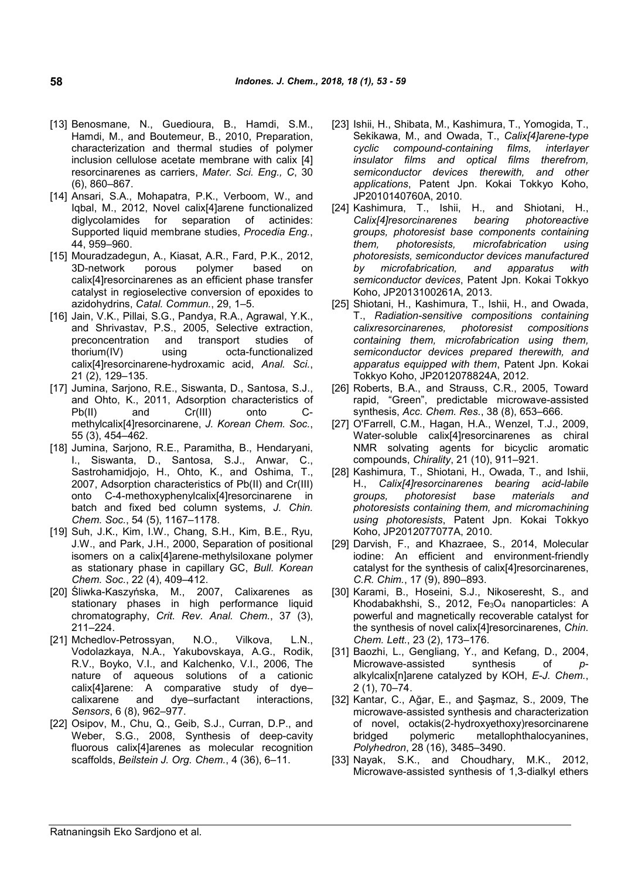- [13] Benosmane, N., Guedioura, B., Hamdi, S.M., Hamdi, M., and Boutemeur, B., 2010, Preparation, characterization and thermal studies of polymer inclusion cellulose acetate membrane with calix [4] resorcinarenes as carriers, *Mater. Sci. Eng., C*, 30 (6), 860–867.
- [14] Ansari, S.A., Mohapatra, P.K., Verboom, W., and Iqbal, M., 2012, Novel calix[4]arene functionalized diglycolamides for separation of actinides: Supported liquid membrane studies, *Procedia Eng.*, 44, 959–960.
- [15] Mouradzadegun, A., Kiasat, A.R., Fard, P.K., 2012, 3D-network porous polymer based on calix[4]resorcinarenes as an efficient phase transfer catalyst in regioselective conversion of epoxides to azidohydrins, *Catal. Commun.*, 29, 1–5.
- [16] Jain, V.K., Pillai, S.G., Pandya, R.A., Agrawal, Y.K., and Shrivastav, P.S., 2005, Selective extraction, preconcentration and transport studies of thorium(IV) using octa-functionalized calix[4]resorcinarene-hydroxamic acid, *Anal. Sci.*, 21 (2), 129–135.
- [17] Jumina, Sarjono, R.E., Siswanta, D., Santosa, S.J., and Ohto, K., 2011, Adsorption characteristics of Pb(II) and Cr(III) onto Cmethylcalix[4]resorcinarene, *J. Korean Chem. Soc.*, 55 (3), 454–462.
- [18] Jumina, Sarjono, R.E., Paramitha, B., Hendaryani, I., Siswanta, D., Santosa, S.J., Anwar, C., Sastrohamidjojo, H., Ohto, K., and Oshima, T., 2007, Adsorption characteristics of Pb(II) and Cr(III) onto C-4-methoxyphenylcalix[4]resorcinarene in batch and fixed bed column systems, *J. Chin. Chem. Soc.*, 54 (5), 1167–1178.
- [19] Suh, J.K., Kim, I.W., Chang, S.H., Kim, B.E., Ryu, J.W., and Park, J.H., 2000, Separation of positional isomers on a calix[4]arene-methylsiloxane polymer as stationary phase in capillary GC, *Bull. Korean Chem. Soc.*, 22 (4), 409–412.
- [20] Śliwka-Kaszyńska, M., 2007, Calixarenes as stationary phases in high performance liquid chromatography, *Crit. Rev. Anal. Chem.*, 37 (3), 211–224.
- [21] Mchedlov-Petrossyan, N.O., Vilkova, L.N., Vodolazkaya, N.A., Yakubovskaya, A.G., Rodik, R.V., Boyko, V.I., and Kalchenko, V.I., 2006, The nature of aqueous solutions of a cationic calix[4]arene: A comparative study of dye– calixarene and dye–surfactant interactions, *Sensors*, 6 (8), 962–977.
- [22] Osipov, M., Chu, Q., Geib, S.J., Curran, D.P., and Weber, S.G., 2008, Synthesis of deep-cavity fluorous calix[4]arenes as molecular recognition scaffolds, *Beilstein J. Org. Chem.*, 4 (36), 6–11.
- [23] Ishii, H., Shibata, M., Kashimura, T., Yomogida, T., Sekikawa, M., and Owada, T., *Calix[4]arene-type cyclic compound-containing films, interlayer insulator films and optical films therefrom, semiconductor devices therewith, and other applications*, Patent Jpn. Kokai Tokkyo Koho, JP2010140760A, 2010.
- [24] Kashimura, T., Ishii, H., and Shiotani, H., *Calix[4]resorcinarenes bearing photoreactive groups, photoresist base components containing them, photoresists, microfabrication using photoresists, semiconductor devices manufactured by microfabrication, and apparatus with semiconductor devices*, Patent Jpn. Kokai Tokkyo Koho, JP2013100261A, 2013.
- [25] Shiotani, H., Kashimura, T., Ishii, H., and Owada, T., *Radiation-sensitive compositions containing calixresorcinarenes, photoresist compositions containing them, microfabrication using them, semiconductor devices prepared therewith, and apparatus equipped with them*, Patent Jpn. Kokai Tokkyo Koho, JP2012078824A, 2012.
- [26] Roberts, B.A., and Strauss, C.R., 2005, Toward rapid, "Green", predictable microwave-assisted synthesis, *Acc. Chem. Res.*, 38 (8), 653–666.
- [27] O'Farrell, C.M., Hagan, H.A., Wenzel, T.J., 2009, Water-soluble calix[4]resorcinarenes as chiral NMR solvating agents for bicyclic aromatic compounds, *Chirality*, 21 (10), 911–921.
- [28] Kashimura, T., Shiotani, H., Owada, T., and Ishii, H., *Calix[4]resorcinarenes bearing acid-labile groups, photoresist base materials and photoresists containing them, and micromachining using photoresists*, Patent Jpn. Kokai Tokkyo Koho, JP2012077077A, 2010.
- [29] Darvish, F., and Khazraee, S., 2014, Molecular iodine: An efficient and environment-friendly catalyst for the synthesis of calix[4]resorcinarenes, *C.R. Chim.*, 17 (9), 890–893.
- [30] Karami, B., Hoseini, S.J., Nikoseresht, S., and Khodabakhshi, S., 2012, Fe3O<sup>4</sup> nanoparticles: A powerful and magnetically recoverable catalyst for the synthesis of novel calix[4]resorcinarenes, *Chin. Chem. Lett.*, 23 (2), 173–176.
- [31] Baozhi, L., Gengliang, Y., and Kefang, D., 2004, Microwave-assisted synthesis of *p*alkylcalix[n]arene catalyzed by KOH, *E-J. Chem.*, 2 (1), 70–74.
- [32] Kantar, C., Ağar, E., and Şaşmaz, S., 2009, The microwave-assisted synthesis and characterization of novel, octakis(2-hydroxyethoxy)resorcinarene bridged polymeric metallophthalocyanines, *Polyhedron*, 28 (16), 3485–3490.
- [33] Nayak, S.K., and Choudhary, M.K., 2012, Microwave-assisted synthesis of 1,3-dialkyl ethers